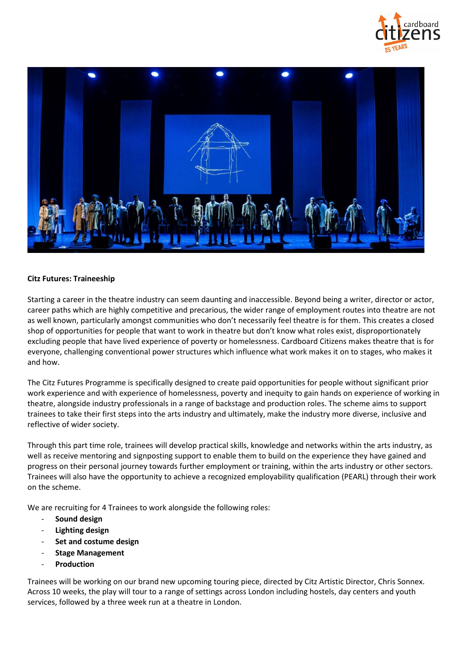



# **Citz Futures: Traineeship**

Starting a career in the theatre industry can seem daunting and inaccessible. Beyond being a writer, director or actor, career paths which are highly competitive and precarious, the wider range of employment routes into theatre are not as well known, particularly amongst communities who don't necessarily feel theatre is for them. This creates a closed shop of opportunities for people that want to work in theatre but don't know what roles exist, disproportionately excluding people that have lived experience of poverty or homelessness. Cardboard Citizens makes theatre that is for everyone, challenging conventional power structures which influence what work makes it on to stages, who makes it and how.

The Citz Futures Programme is specifically designed to create paid opportunities for people without significant prior work experience and with experience of homelessness, poverty and inequity to gain hands on experience of working in theatre, alongside industry professionals in a range of backstage and production roles. The scheme aims to support trainees to take their first steps into the arts industry and ultimately, make the industry more diverse, inclusive and reflective of wider society.

Through this part time role, trainees will develop practical skills, knowledge and networks within the arts industry, as well as receive mentoring and signposting support to enable them to build on the experience they have gained and progress on their personal journey towards further employment or training, within the arts industry or other sectors. Trainees will also have the opportunity to achieve a recognized employability qualification (PEARL) through their work on the scheme.

We are recruiting for 4 Trainees to work alongside the following roles:

- **Sound design**
- **Lighting design**
- **Set and costume design**
- **Stage Management**
- **Production**

Trainees will be working on our brand new upcoming touring piece, directed by Citz Artistic Director, Chris Sonnex. Across 10 weeks, the play will tour to a range of settings across London including hostels, day centers and youth services, followed by a three week run at a theatre in London.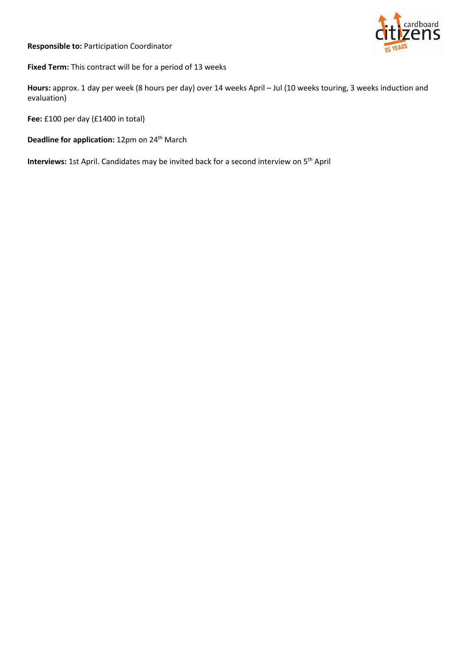**Responsible to:** Participation Coordinator



**Fixed Term:** This contract will be for a period of 13 weeks

**Hours:** approx. 1 day per week (8 hours per day) over 14 weeks April – Jul (10 weeks touring, 3 weeks induction and evaluation)

**Fee:** £100 per day (£1400 in total)

Deadline for application: 12pm on 24<sup>th</sup> March

Interviews: 1st April. Candidates may be invited back for a second interview on 5<sup>th</sup> April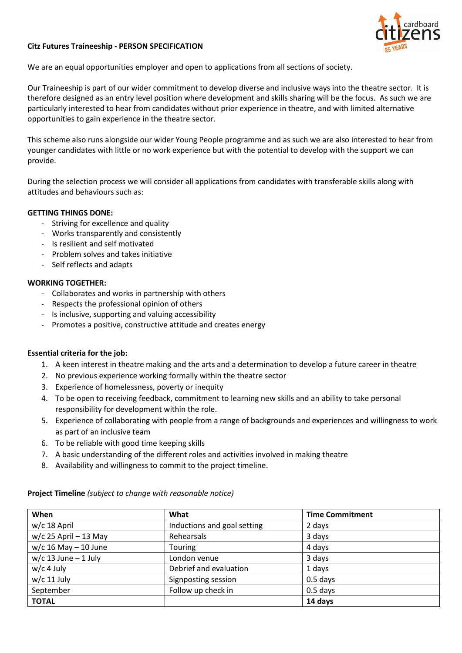## **Citz Futures Traineeship - PERSON SPECIFICATION**

We are an equal opportunities employer and open to applications from all sections of society.

Our Traineeship is part of our wider commitment to develop diverse and inclusive ways into the theatre sector. It is therefore designed as an entry level position where development and skills sharing will be the focus. As such we are particularly interested to hear from candidates without prior experience in theatre, and with limited alternative opportunities to gain experience in the theatre sector.

This scheme also runs alongside our wider Young People programme and as such we are also interested to hear from younger candidates with little or no work experience but with the potential to develop with the support we can provide.

During the selection process we will consider all applications from candidates with transferable skills along with attitudes and behaviours such as:

#### **GETTING THINGS DONE:**

- Striving for excellence and quality
- Works transparently and consistently
- Is resilient and self motivated
- Problem solves and takes initiative
- Self reflects and adapts

### **WORKING TOGETHER:**

- Collaborates and works in partnership with others
- Respects the professional opinion of others
- Is inclusive, supporting and valuing accessibility
- Promotes a positive, constructive attitude and creates energy

### **Essential criteria for the job:**

- 1. A keen interest in theatre making and the arts and a determination to develop a future career in theatre
- 2. No previous experience working formally within the theatre sector
- 3. Experience of homelessness, poverty or inequity
- 4. To be open to receiving feedback, commitment to learning new skills and an ability to take personal responsibility for development within the role.
- 5. Experience of collaborating with people from a range of backgrounds and experiences and willingness to work as part of an inclusive team
- 6. To be reliable with good time keeping skills
- 7. A basic understanding of the different roles and activities involved in making theatre
- 8. Availability and willingness to commit to the project timeline.

| When                     | What                        | <b>Time Commitment</b> |
|--------------------------|-----------------------------|------------------------|
| $w/c$ 18 April           | Inductions and goal setting | 2 days                 |
| $w/c$ 25 April - 13 May  | Rehearsals                  | 3 days                 |
| $w/c$ 16 May $-$ 10 June | Touring                     | 4 days                 |
| $w/c$ 13 June - 1 July   | London venue                | 3 days                 |
| $w/c$ 4 July             | Debrief and evaluation      | 1 days                 |
| $w/c$ 11 July            | Signposting session         | $0.5$ days             |
| September                | Follow up check in          | $0.5$ days             |
| <b>TOTAL</b>             |                             | 14 days                |

## **Project Timeline** *(subject to change with reasonable notice)*